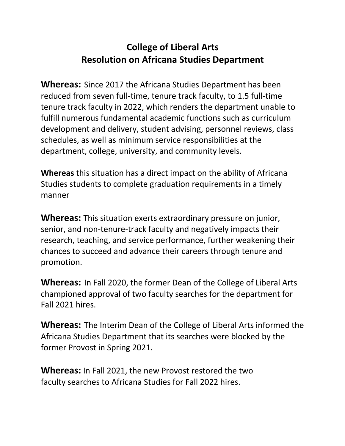## **College of Liberal Arts Resolution on Africana Studies Department**

**Whereas:** Since 2017 the Africana Studies Department has been reduced from seven full-time, tenure track faculty, to 1.5 full-time tenure track faculty in 2022, which renders the department unable to fulfill numerous fundamental academic functions such as curriculum development and delivery, student advising, personnel reviews, class schedules, as well as minimum service responsibilities at the department, college, university, and community levels.

**Whereas** this situation has a direct impact on the ability of Africana Studies students to complete graduation requirements in a timely manner

**Whereas:** This situation exerts extraordinary pressure on junior, senior, and non-tenure-track faculty and negatively impacts their research, teaching, and service performance, further weakening their chances to succeed and advance their careers through tenure and promotion.

**Whereas:** In Fall 2020, the former Dean of the College of Liberal Arts championed approval of two faculty searches for the department for Fall 2021 hires.

**Whereas:** The Interim Dean of the College of Liberal Arts informed the Africana Studies Department that its searches were blocked by the former Provost in Spring 2021.

**Whereas:** In Fall 2021, the new Provost restored the two faculty searches to Africana Studies for Fall 2022 hires.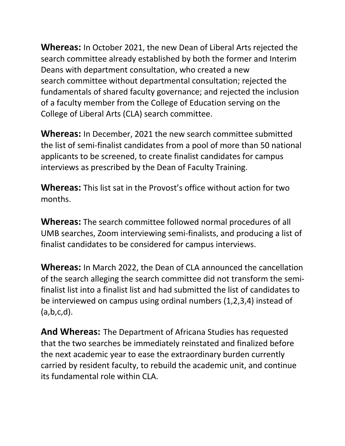**Whereas:** In October 2021, the new Dean of Liberal Arts rejected the search committee already established by both the former and Interim Deans with department consultation, who created a new search committee without departmental consultation; rejected the fundamentals of shared faculty governance; and rejected the inclusion of a faculty member from the College of Education serving on the College of Liberal Arts (CLA) search committee.

**Whereas:** In December, 2021 the new search committee submitted the list of semi-finalist candidates from a pool of more than 50 national applicants to be screened, to create finalist candidates for campus interviews as prescribed by the Dean of Faculty Training.

**Whereas:** This list sat in the Provost's office without action for two months.

**Whereas:** The search committee followed normal procedures of all UMB searches, Zoom interviewing semi-finalists, and producing a list of finalist candidates to be considered for campus interviews.

**Whereas:** In March 2022, the Dean of CLA announced the cancellation of the search alleging the search committee did not transform the semifinalist list into a finalist list and had submitted the list of candidates to be interviewed on campus using ordinal numbers (1,2,3,4) instead of  $(a,b,c,d)$ .

**And Whereas:** The Department of Africana Studies has requested that the two searches be immediately reinstated and finalized before the next academic year to ease the extraordinary burden currently carried by resident faculty, to rebuild the academic unit, and continue its fundamental role within CLA.